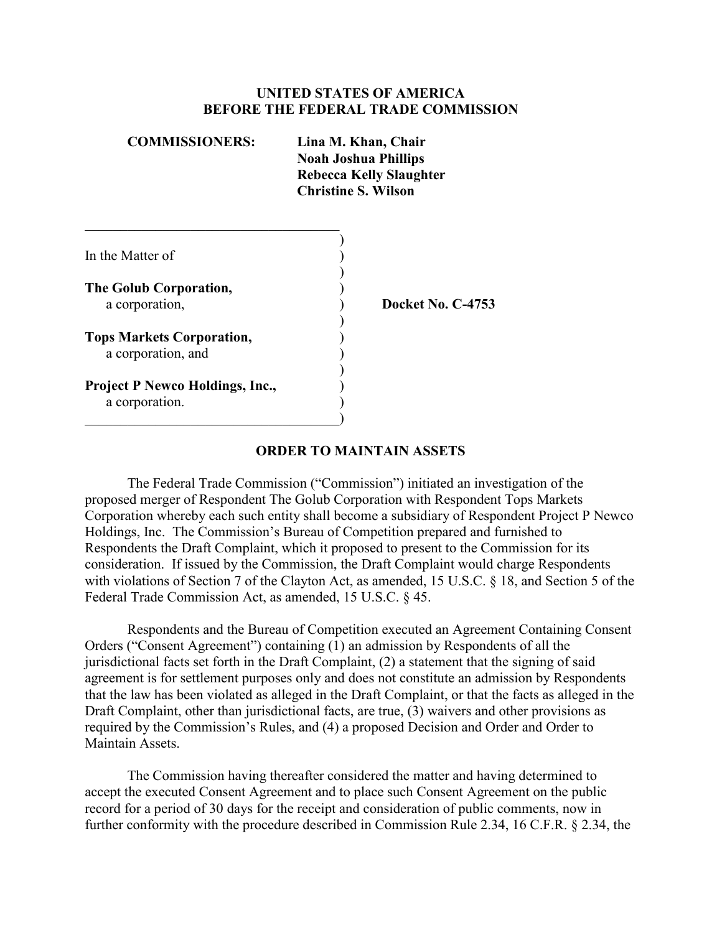#### **UNITED STATES OF AMERICA BEFORE THE FEDERAL TRADE COMMISSION**

| <b>COMMISSIONERS:</b>                                  | Lina M. Khan, Chair<br><b>Noah Joshua Phillips</b><br><b>Rebecca Kelly Slaughter</b><br><b>Christine S. Wilson</b> |
|--------------------------------------------------------|--------------------------------------------------------------------------------------------------------------------|
|                                                        |                                                                                                                    |
| In the Matter of                                       |                                                                                                                    |
| The Golub Corporation,                                 |                                                                                                                    |
| a corporation,                                         | Docket No. C-4753                                                                                                  |
| <b>Tops Markets Corporation,</b><br>a corporation, and |                                                                                                                    |
| <b>Project P Newco Holdings, Inc.,</b>                 |                                                                                                                    |
| a corporation.                                         |                                                                                                                    |

 $\hspace{.5em}$   $\hspace{.5em}$   $\hspace{.5em}$   $\hspace{.5em}$   $\hspace{.5em}$   $\hspace{.5em}$   $\hspace{.5em}$   $\hspace{.5em}$   $\hspace{.5em}$   $\hspace{.5em}$   $\hspace{.5em}$   $\hspace{.5em}$   $\hspace{.5em}$   $\hspace{.5em}$   $\hspace{.5em}$   $\hspace{.5em}$   $\hspace{.5em}$   $\hspace{.5em}$   $\hspace{.5em}$   $\hspace{.5em}$ 

#### **ORDER TO MAINTAIN ASSETS**

The Federal Trade Commission ("Commission") initiated an investigation of the proposed merger of Respondent The Golub Corporation with Respondent Tops Markets Corporation whereby each such entity shall become a subsidiary of Respondent Project P Newco Holdings, Inc. The Commission's Bureau of Competition prepared and furnished to Respondents the Draft Complaint, which it proposed to present to the Commission for its consideration. If issued by the Commission, the Draft Complaint would charge Respondents with violations of Section 7 of the Clayton Act, as amended, 15 U.S.C. § 18, and Section 5 of the Federal Trade Commission Act, as amended, 15 U.S.C. § 45.

Respondents and the Bureau of Competition executed an Agreement Containing Consent Orders ("Consent Agreement") containing (1) an admission by Respondents of all the jurisdictional facts set forth in the Draft Complaint, (2) a statement that the signing of said agreement is for settlement purposes only and does not constitute an admission by Respondents that the law has been violated as alleged in the Draft Complaint, or that the facts as alleged in the Draft Complaint, other than jurisdictional facts, are true, (3) waivers and other provisions as required by the Commission's Rules, and (4) a proposed Decision and Order and Order to Maintain Assets.

The Commission having thereafter considered the matter and having determined to accept the executed Consent Agreement and to place such Consent Agreement on the public record for a period of 30 days for the receipt and consideration of public comments, now in further conformity with the procedure described in Commission Rule 2.34, 16 C.F.R. § 2.34, the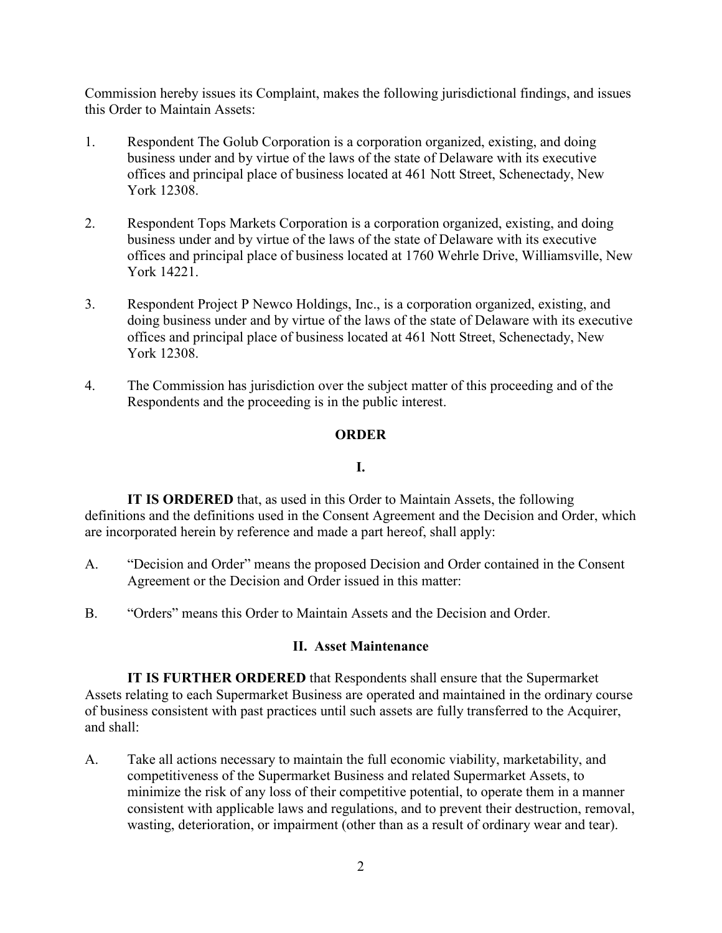Commission hereby issues its Complaint, makes the following jurisdictional findings, and issues this Order to Maintain Assets:

- 1. Respondent The Golub Corporation is a corporation organized, existing, and doing business under and by virtue of the laws of the state of Delaware with its executive offices and principal place of business located at 461 Nott Street, Schenectady, New York 12308.
- 2. Respondent Tops Markets Corporation is a corporation organized, existing, and doing business under and by virtue of the laws of the state of Delaware with its executive offices and principal place of business located at 1760 Wehrle Drive, Williamsville, New York 14221.
- 3. Respondent Project P Newco Holdings, Inc., is a corporation organized, existing, and doing business under and by virtue of the laws of the state of Delaware with its executive offices and principal place of business located at 461 Nott Street, Schenectady, New York 12308.
- 4. The Commission has jurisdiction over the subject matter of this proceeding and of the Respondents and the proceeding is in the public interest.

#### **ORDER**

#### **I.**

**IT IS ORDERED** that, as used in this Order to Maintain Assets, the following definitions and the definitions used in the Consent Agreement and the Decision and Order, which are incorporated herein by reference and made a part hereof, shall apply:

- A. "Decision and Order" means the proposed Decision and Order contained in the Consent Agreement or the Decision and Order issued in this matter:
- B. "Orders" means this Order to Maintain Assets and the Decision and Order.

#### **II. Asset Maintenance**

**IT IS FURTHER ORDERED** that Respondents shall ensure that the Supermarket Assets relating to each Supermarket Business are operated and maintained in the ordinary course of business consistent with past practices until such assets are fully transferred to the Acquirer, and shall:

A. Take all actions necessary to maintain the full economic viability, marketability, and competitiveness of the Supermarket Business and related Supermarket Assets, to minimize the risk of any loss of their competitive potential, to operate them in a manner consistent with applicable laws and regulations, and to prevent their destruction, removal, wasting, deterioration, or impairment (other than as a result of ordinary wear and tear).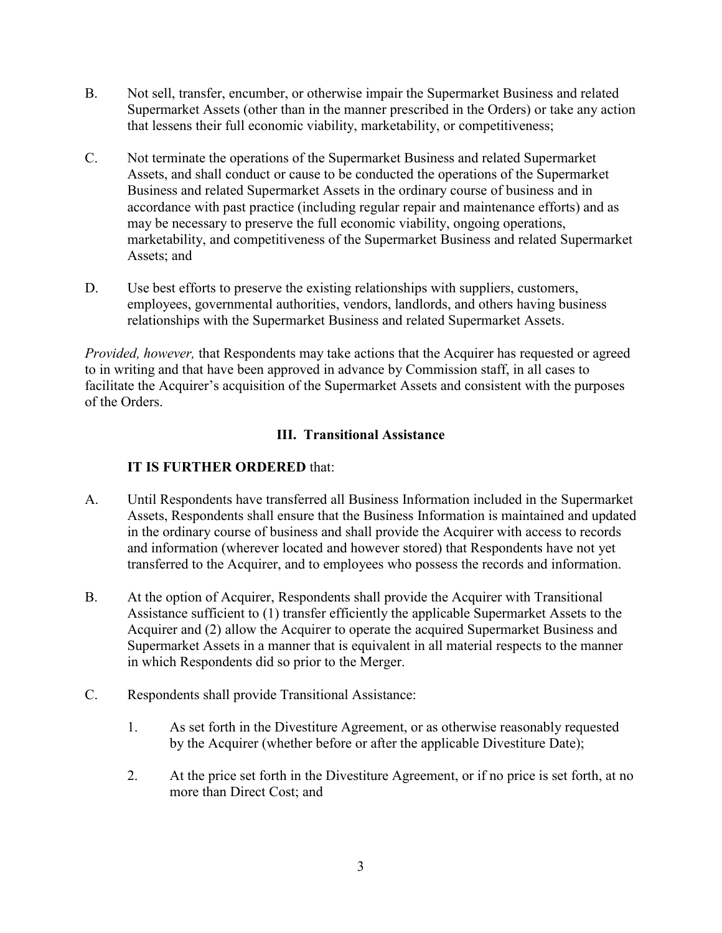- B. Not sell, transfer, encumber, or otherwise impair the Supermarket Business and related Supermarket Assets (other than in the manner prescribed in the Orders) or take any action that lessens their full economic viability, marketability, or competitiveness;
- C. Not terminate the operations of the Supermarket Business and related Supermarket Assets, and shall conduct or cause to be conducted the operations of the Supermarket Business and related Supermarket Assets in the ordinary course of business and in accordance with past practice (including regular repair and maintenance efforts) and as may be necessary to preserve the full economic viability, ongoing operations, marketability, and competitiveness of the Supermarket Business and related Supermarket Assets; and
- D. Use best efforts to preserve the existing relationships with suppliers, customers, employees, governmental authorities, vendors, landlords, and others having business relationships with the Supermarket Business and related Supermarket Assets.

*Provided, however,* that Respondents may take actions that the Acquirer has requested or agreed to in writing and that have been approved in advance by Commission staff, in all cases to facilitate the Acquirer's acquisition of the Supermarket Assets and consistent with the purposes of the Orders.

### **III. Transitional Assistance**

- A. Until Respondents have transferred all Business Information included in the Supermarket Assets, Respondents shall ensure that the Business Information is maintained and updated in the ordinary course of business and shall provide the Acquirer with access to records and information (wherever located and however stored) that Respondents have not yet transferred to the Acquirer, and to employees who possess the records and information.
- B. At the option of Acquirer, Respondents shall provide the Acquirer with Transitional Assistance sufficient to (1) transfer efficiently the applicable Supermarket Assets to the Acquirer and (2) allow the Acquirer to operate the acquired Supermarket Business and Supermarket Assets in a manner that is equivalent in all material respects to the manner in which Respondents did so prior to the Merger.
- C. Respondents shall provide Transitional Assistance:
	- 1. As set forth in the Divestiture Agreement, or as otherwise reasonably requested by the Acquirer (whether before or after the applicable Divestiture Date);
	- 2. At the price set forth in the Divestiture Agreement, or if no price is set forth, at no more than Direct Cost; and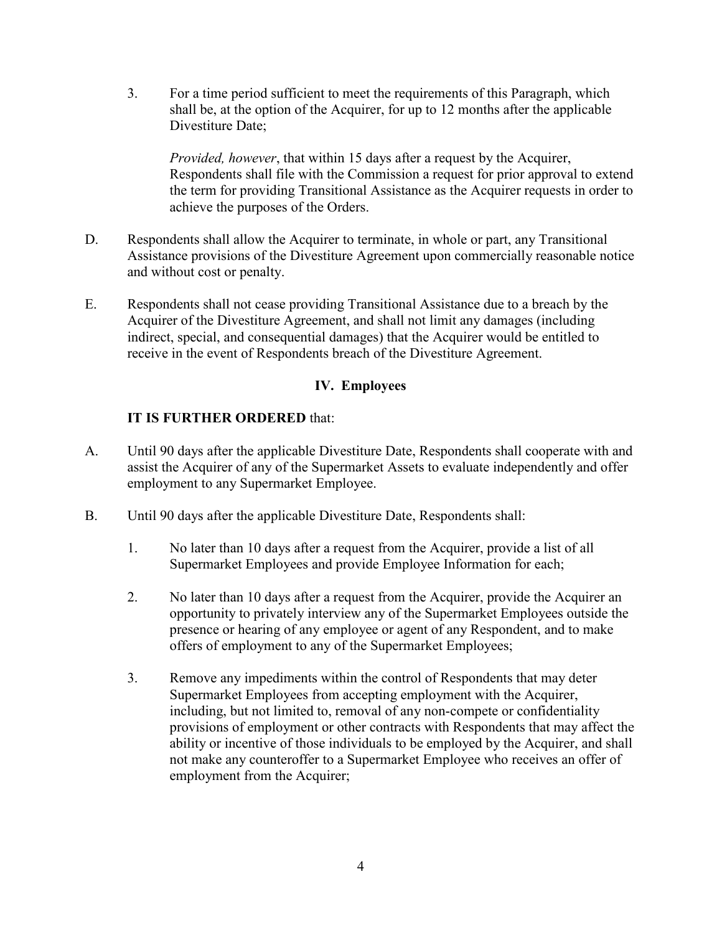3. For a time period sufficient to meet the requirements of this Paragraph, which shall be, at the option of the Acquirer, for up to 12 months after the applicable Divestiture Date;

*Provided, however*, that within 15 days after a request by the Acquirer, Respondents shall file with the Commission a request for prior approval to extend the term for providing Transitional Assistance as the Acquirer requests in order to achieve the purposes of the Orders.

- D. Respondents shall allow the Acquirer to terminate, in whole or part, any Transitional Assistance provisions of the Divestiture Agreement upon commercially reasonable notice and without cost or penalty.
- E. Respondents shall not cease providing Transitional Assistance due to a breach by the Acquirer of the Divestiture Agreement, and shall not limit any damages (including indirect, special, and consequential damages) that the Acquirer would be entitled to receive in the event of Respondents breach of the Divestiture Agreement.

### **IV. Employees**

- A. Until 90 days after the applicable Divestiture Date, Respondents shall cooperate with and assist the Acquirer of any of the Supermarket Assets to evaluate independently and offer employment to any Supermarket Employee.
- B. Until 90 days after the applicable Divestiture Date, Respondents shall:
	- 1. No later than 10 days after a request from the Acquirer, provide a list of all Supermarket Employees and provide Employee Information for each;
	- 2. No later than 10 days after a request from the Acquirer, provide the Acquirer an opportunity to privately interview any of the Supermarket Employees outside the presence or hearing of any employee or agent of any Respondent, and to make offers of employment to any of the Supermarket Employees;
	- 3. Remove any impediments within the control of Respondents that may deter Supermarket Employees from accepting employment with the Acquirer, including, but not limited to, removal of any non-compete or confidentiality provisions of employment or other contracts with Respondents that may affect the ability or incentive of those individuals to be employed by the Acquirer, and shall not make any counteroffer to a Supermarket Employee who receives an offer of employment from the Acquirer;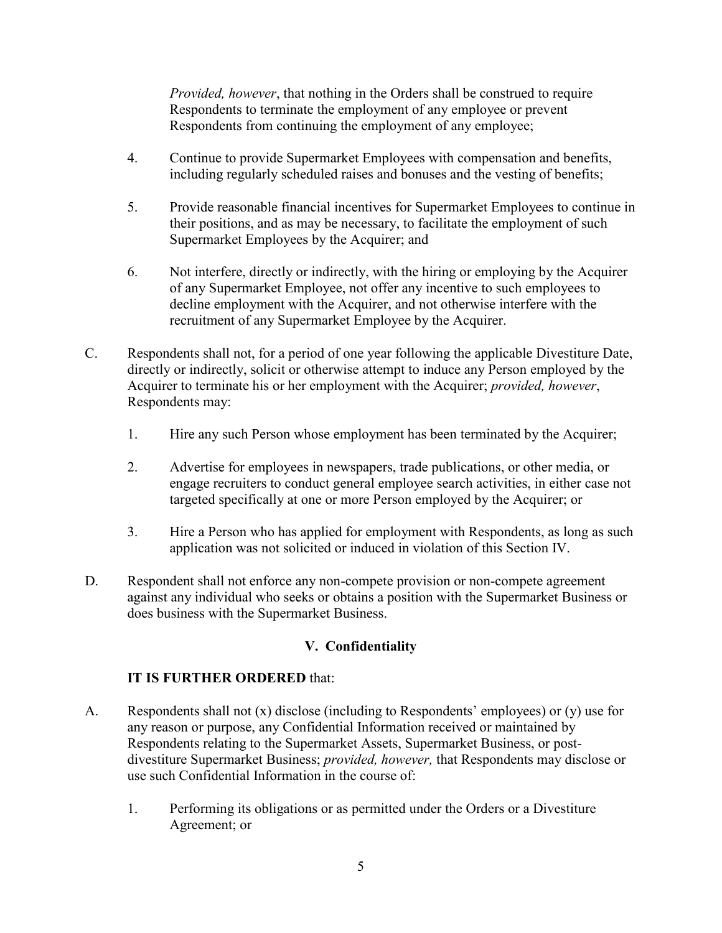*Provided, however*, that nothing in the Orders shall be construed to require Respondents to terminate the employment of any employee or prevent Respondents from continuing the employment of any employee;

- 4. Continue to provide Supermarket Employees with compensation and benefits, including regularly scheduled raises and bonuses and the vesting of benefits;
- 5. Provide reasonable financial incentives for Supermarket Employees to continue in their positions, and as may be necessary, to facilitate the employment of such Supermarket Employees by the Acquirer; and
- 6. Not interfere, directly or indirectly, with the hiring or employing by the Acquirer of any Supermarket Employee, not offer any incentive to such employees to decline employment with the Acquirer, and not otherwise interfere with the recruitment of any Supermarket Employee by the Acquirer.
- C. Respondents shall not, for a period of one year following the applicable Divestiture Date, directly or indirectly, solicit or otherwise attempt to induce any Person employed by the Acquirer to terminate his or her employment with the Acquirer; *provided, however*, Respondents may:
	- 1. Hire any such Person whose employment has been terminated by the Acquirer;
	- 2. Advertise for employees in newspapers, trade publications, or other media, or engage recruiters to conduct general employee search activities, in either case not targeted specifically at one or more Person employed by the Acquirer; or
	- 3. Hire a Person who has applied for employment with Respondents, as long as such application was not solicited or induced in violation of this Section IV.
- D. Respondent shall not enforce any non-compete provision or non-compete agreement against any individual who seeks or obtains a position with the Supermarket Business or does business with the Supermarket Business.

### **V. Confidentiality**

- A. Respondents shall not  $(x)$  disclose (including to Respondents' employees) or  $(y)$  use for any reason or purpose, any Confidential Information received or maintained by Respondents relating to the Supermarket Assets, Supermarket Business, or postdivestiture Supermarket Business; *provided, however,* that Respondents may disclose or use such Confidential Information in the course of:
	- 1. Performing its obligations or as permitted under the Orders or a Divestiture Agreement; or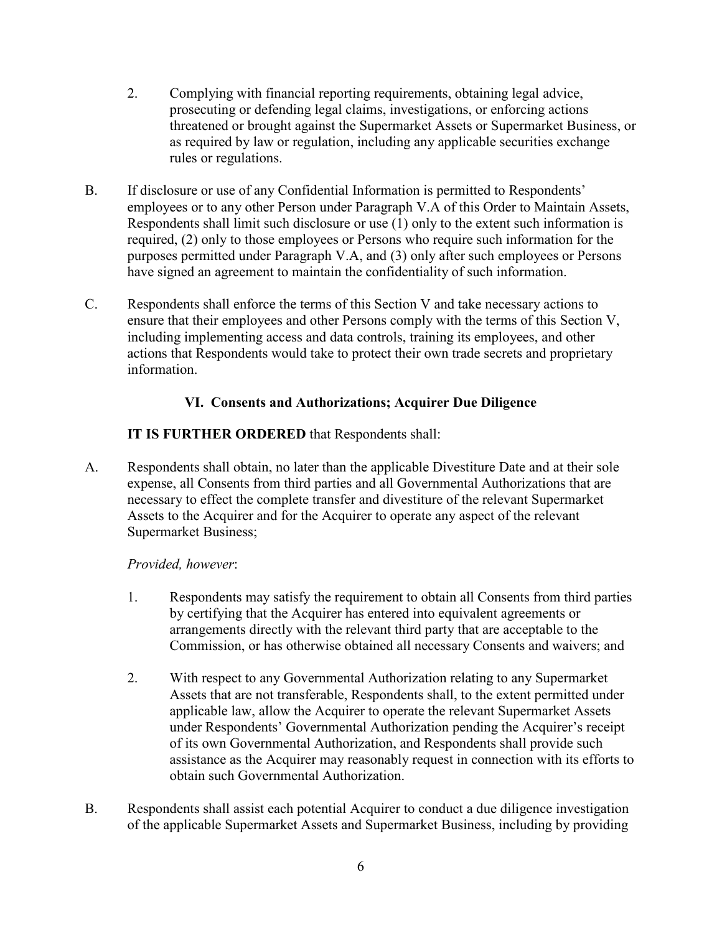- 2. Complying with financial reporting requirements, obtaining legal advice, prosecuting or defending legal claims, investigations, or enforcing actions threatened or brought against the Supermarket Assets or Supermarket Business, or as required by law or regulation, including any applicable securities exchange rules or regulations.
- B. If disclosure or use of any Confidential Information is permitted to Respondents' employees or to any other Person under Paragraph V.A of this Order to Maintain Assets, Respondents shall limit such disclosure or use (1) only to the extent such information is required, (2) only to those employees or Persons who require such information for the purposes permitted under Paragraph V.A, and (3) only after such employees or Persons have signed an agreement to maintain the confidentiality of such information.
- C. Respondents shall enforce the terms of this Section V and take necessary actions to ensure that their employees and other Persons comply with the terms of this Section V, including implementing access and data controls, training its employees, and other actions that Respondents would take to protect their own trade secrets and proprietary information.

# **VI. Consents and Authorizations; Acquirer Due Diligence**

# **IT IS FURTHER ORDERED** that Respondents shall:

A. Respondents shall obtain, no later than the applicable Divestiture Date and at their sole expense, all Consents from third parties and all Governmental Authorizations that are necessary to effect the complete transfer and divestiture of the relevant Supermarket Assets to the Acquirer and for the Acquirer to operate any aspect of the relevant Supermarket Business;

### *Provided, however*:

- 1. Respondents may satisfy the requirement to obtain all Consents from third parties by certifying that the Acquirer has entered into equivalent agreements or arrangements directly with the relevant third party that are acceptable to the Commission, or has otherwise obtained all necessary Consents and waivers; and
- 2. With respect to any Governmental Authorization relating to any Supermarket Assets that are not transferable, Respondents shall, to the extent permitted under applicable law, allow the Acquirer to operate the relevant Supermarket Assets under Respondents' Governmental Authorization pending the Acquirer's receipt of its own Governmental Authorization, and Respondents shall provide such assistance as the Acquirer may reasonably request in connection with its efforts to obtain such Governmental Authorization.
- B. Respondents shall assist each potential Acquirer to conduct a due diligence investigation of the applicable Supermarket Assets and Supermarket Business, including by providing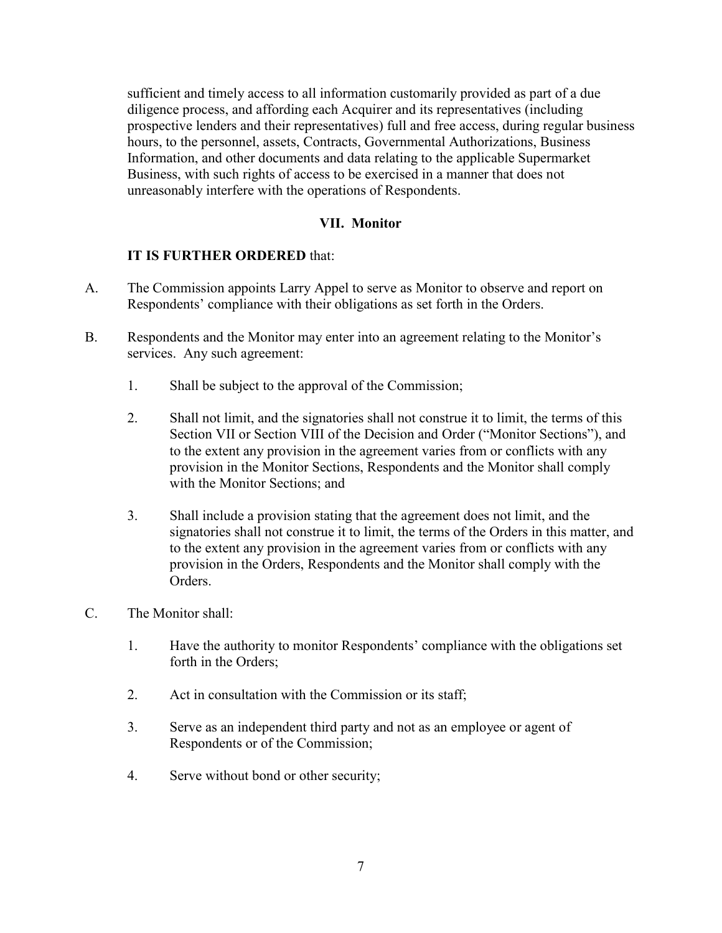sufficient and timely access to all information customarily provided as part of a due diligence process, and affording each Acquirer and its representatives (including prospective lenders and their representatives) full and free access, during regular business hours, to the personnel, assets, Contracts, Governmental Authorizations, Business Information, and other documents and data relating to the applicable Supermarket Business, with such rights of access to be exercised in a manner that does not unreasonably interfere with the operations of Respondents.

### **VII. Monitor**

- A. The Commission appoints Larry Appel to serve as Monitor to observe and report on Respondents' compliance with their obligations as set forth in the Orders.
- B. Respondents and the Monitor may enter into an agreement relating to the Monitor's services. Any such agreement:
	- 1. Shall be subject to the approval of the Commission;
	- 2. Shall not limit, and the signatories shall not construe it to limit, the terms of this Section VII or Section VIII of the Decision and Order ("Monitor Sections"), and to the extent any provision in the agreement varies from or conflicts with any provision in the Monitor Sections, Respondents and the Monitor shall comply with the Monitor Sections; and
	- 3. Shall include a provision stating that the agreement does not limit, and the signatories shall not construe it to limit, the terms of the Orders in this matter, and to the extent any provision in the agreement varies from or conflicts with any provision in the Orders, Respondents and the Monitor shall comply with the Orders.
- C. The Monitor shall:
	- 1. Have the authority to monitor Respondents' compliance with the obligations set forth in the Orders;
	- 2. Act in consultation with the Commission or its staff;
	- 3. Serve as an independent third party and not as an employee or agent of Respondents or of the Commission;
	- 4. Serve without bond or other security;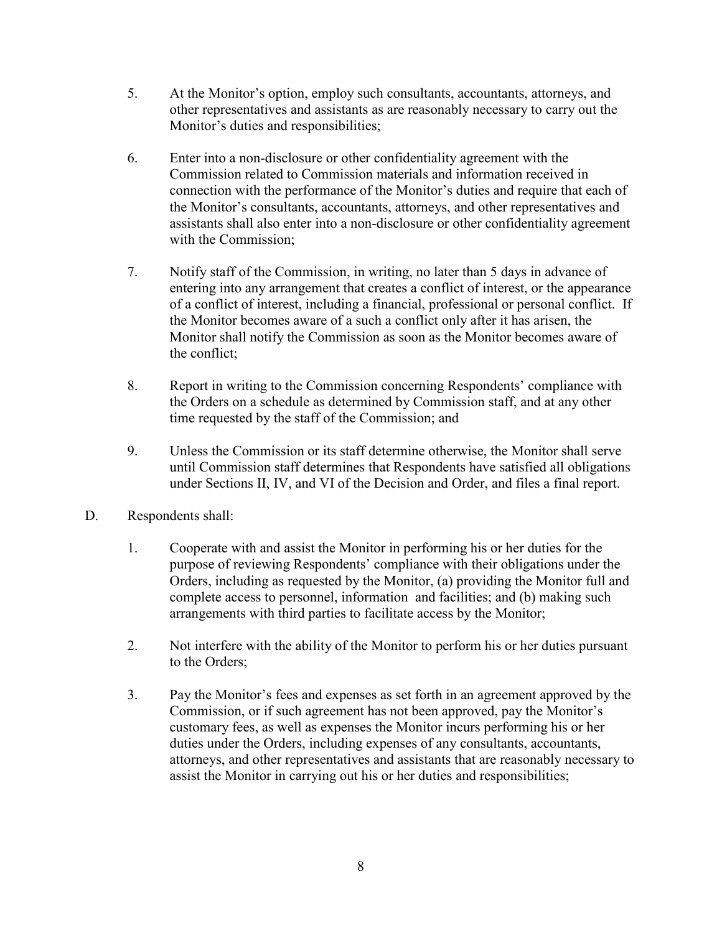- 5. At the Monitor's option, employ such consultants, accountants, attorneys, and other representatives and assistants as are reasonably necessary to carry out the Monitor's duties and responsibilities;
- 6. Enter into a non-disclosure or other confidentiality agreement with the Commission related to Commission materials and information received in connection with the performance of the Monitor's duties and require that each of the Monitor's consultants, accountants, attorneys, and other representatives and assistants shall also enter into a non-disclosure or other confidentiality agreement with the Commission;
- 7. Notify staff of the Commission, in writing, no later than 5 days in advance of entering into any arrangement that creates a conflict of interest, or the appearance of a conflict of interest, including a financial, professional or personal conflict. If the Monitor becomes aware of a such a conflict only after it has arisen, the Monitor shall notify the Commission as soon as the Monitor becomes aware of the conflict;
- 8. Report in writing to the Commission concerning Respondents' compliance with the Orders on a schedule as determined by Commission staff, and at any other time requested by the staff of the Commission; and
- 9. Unless the Commission or its staff determine otherwise, the Monitor shall serve until Commission staff determines that Respondents have satisfied all obligations under Sections II, IV, and VI of the Decision and Order, and files a final report.
- D. Respondents shall:
	- 1. Cooperate with and assist the Monitor in performing his or her duties for the purpose of reviewing Respondents' compliance with their obligations under the Orders, including as requested by the Monitor, (a) providing the Monitor full and complete access to personnel, information and facilities; and (b) making such arrangements with third parties to facilitate access by the Monitor;
	- 2. Not interfere with the ability of the Monitor to perform his or her duties pursuant to the Orders;
	- 3. Pay the Monitor's fees and expenses as set forth in an agreement approved by the Commission, or if such agreement has not been approved, pay the Monitor's customary fees, as well as expenses the Monitor incurs performing his or her duties under the Orders, including expenses of any consultants, accountants, attorneys, and other representatives and assistants that are reasonably necessary to assist the Monitor in carrying out his or her duties and responsibilities;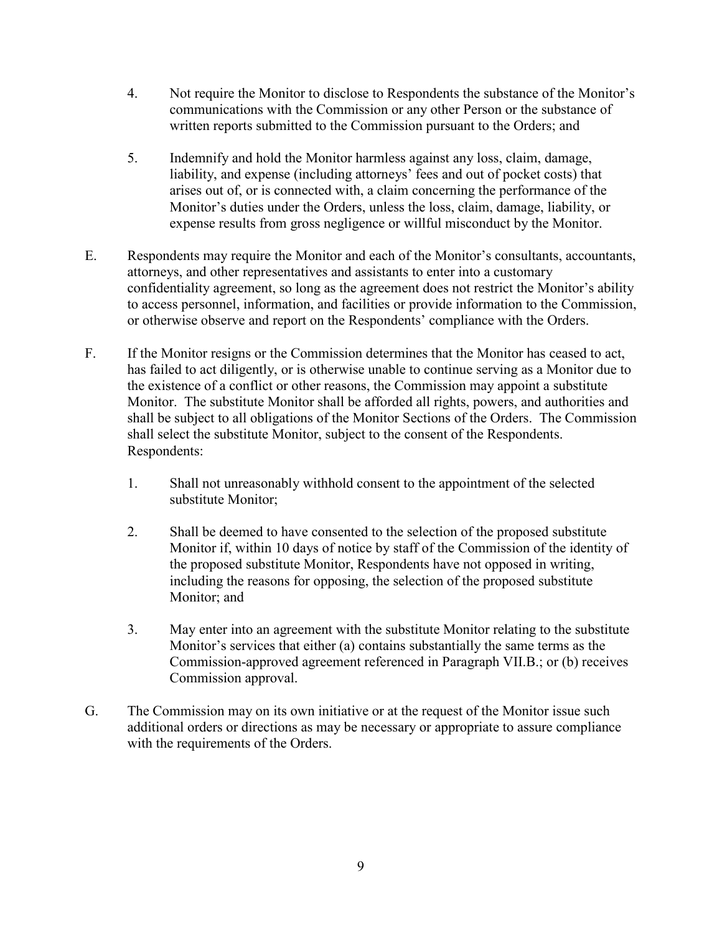- 4. Not require the Monitor to disclose to Respondents the substance of the Monitor's communications with the Commission or any other Person or the substance of written reports submitted to the Commission pursuant to the Orders; and
- 5. Indemnify and hold the Monitor harmless against any loss, claim, damage, liability, and expense (including attorneys' fees and out of pocket costs) that arises out of, or is connected with, a claim concerning the performance of the Monitor's duties under the Orders, unless the loss, claim, damage, liability, or expense results from gross negligence or willful misconduct by the Monitor.
- E. Respondents may require the Monitor and each of the Monitor's consultants, accountants, attorneys, and other representatives and assistants to enter into a customary confidentiality agreement, so long as the agreement does not restrict the Monitor's ability to access personnel, information, and facilities or provide information to the Commission, or otherwise observe and report on the Respondents' compliance with the Orders.
- F. If the Monitor resigns or the Commission determines that the Monitor has ceased to act, has failed to act diligently, or is otherwise unable to continue serving as a Monitor due to the existence of a conflict or other reasons, the Commission may appoint a substitute Monitor. The substitute Monitor shall be afforded all rights, powers, and authorities and shall be subject to all obligations of the Monitor Sections of the Orders. The Commission shall select the substitute Monitor, subject to the consent of the Respondents. Respondents:
	- 1. Shall not unreasonably withhold consent to the appointment of the selected substitute Monitor;
	- 2. Shall be deemed to have consented to the selection of the proposed substitute Monitor if, within 10 days of notice by staff of the Commission of the identity of the proposed substitute Monitor, Respondents have not opposed in writing, including the reasons for opposing, the selection of the proposed substitute Monitor; and
	- 3. May enter into an agreement with the substitute Monitor relating to the substitute Monitor's services that either (a) contains substantially the same terms as the Commission-approved agreement referenced in Paragraph VII.B.; or (b) receives Commission approval.
- G. The Commission may on its own initiative or at the request of the Monitor issue such additional orders or directions as may be necessary or appropriate to assure compliance with the requirements of the Orders.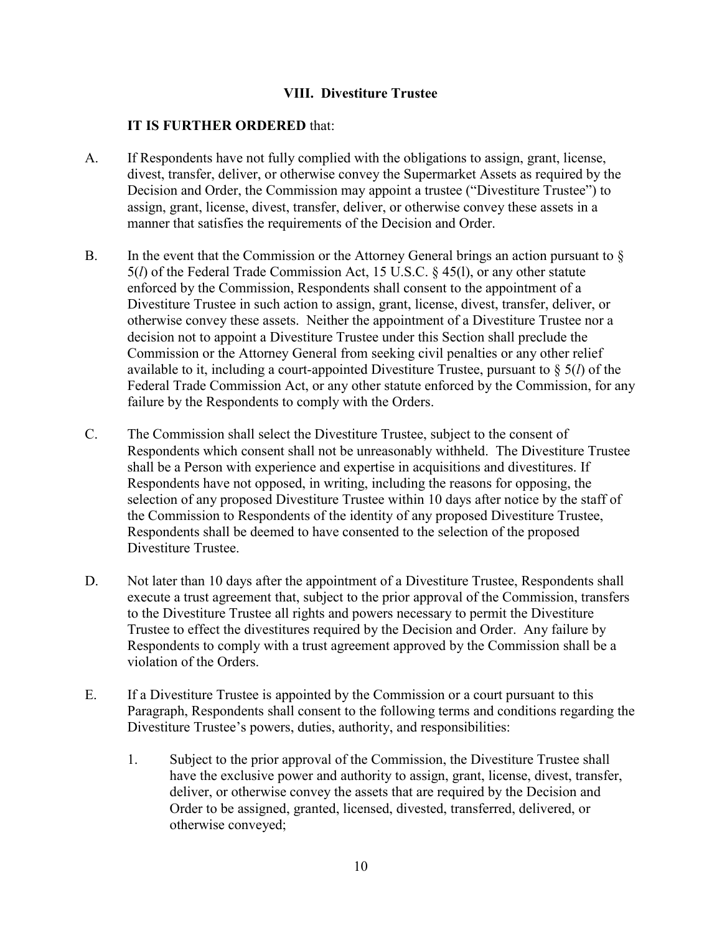#### **VIII. Divestiture Trustee**

- A. If Respondents have not fully complied with the obligations to assign, grant, license, divest, transfer, deliver, or otherwise convey the Supermarket Assets as required by the Decision and Order, the Commission may appoint a trustee ("Divestiture Trustee") to assign, grant, license, divest, transfer, deliver, or otherwise convey these assets in a manner that satisfies the requirements of the Decision and Order.
- B. In the event that the Commission or the Attorney General brings an action pursuant to  $\S$ 5(*l*) of the Federal Trade Commission Act, 15 U.S.C. § 45(l), or any other statute enforced by the Commission, Respondents shall consent to the appointment of a Divestiture Trustee in such action to assign, grant, license, divest, transfer, deliver, or otherwise convey these assets. Neither the appointment of a Divestiture Trustee nor a decision not to appoint a Divestiture Trustee under this Section shall preclude the Commission or the Attorney General from seeking civil penalties or any other relief available to it, including a court-appointed Divestiture Trustee, pursuant to § 5(*l*) of the Federal Trade Commission Act, or any other statute enforced by the Commission, for any failure by the Respondents to comply with the Orders.
- C. The Commission shall select the Divestiture Trustee, subject to the consent of Respondents which consent shall not be unreasonably withheld. The Divestiture Trustee shall be a Person with experience and expertise in acquisitions and divestitures. If Respondents have not opposed, in writing, including the reasons for opposing, the selection of any proposed Divestiture Trustee within 10 days after notice by the staff of the Commission to Respondents of the identity of any proposed Divestiture Trustee, Respondents shall be deemed to have consented to the selection of the proposed Divestiture Trustee.
- D. Not later than 10 days after the appointment of a Divestiture Trustee, Respondents shall execute a trust agreement that, subject to the prior approval of the Commission, transfers to the Divestiture Trustee all rights and powers necessary to permit the Divestiture Trustee to effect the divestitures required by the Decision and Order. Any failure by Respondents to comply with a trust agreement approved by the Commission shall be a violation of the Orders.
- E. If a Divestiture Trustee is appointed by the Commission or a court pursuant to this Paragraph, Respondents shall consent to the following terms and conditions regarding the Divestiture Trustee's powers, duties, authority, and responsibilities:
	- 1. Subject to the prior approval of the Commission, the Divestiture Trustee shall have the exclusive power and authority to assign, grant, license, divest, transfer, deliver, or otherwise convey the assets that are required by the Decision and Order to be assigned, granted, licensed, divested, transferred, delivered, or otherwise conveyed;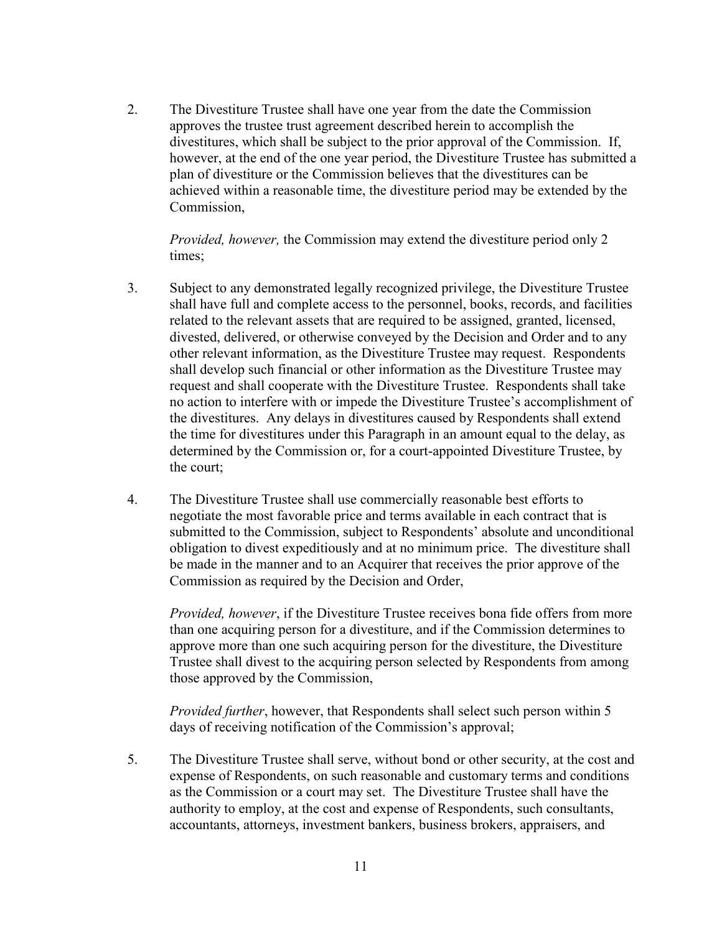2. The Divestiture Trustee shall have one year from the date the Commission approves the trustee trust agreement described herein to accomplish the divestitures, which shall be subject to the prior approval of the Commission. If, however, at the end of the one year period, the Divestiture Trustee has submitted a plan of divestiture or the Commission believes that the divestitures can be achieved within a reasonable time, the divestiture period may be extended by the Commission,

*Provided, however,* the Commission may extend the divestiture period only 2 times;

- 3. Subject to any demonstrated legally recognized privilege, the Divestiture Trustee shall have full and complete access to the personnel, books, records, and facilities related to the relevant assets that are required to be assigned, granted, licensed, divested, delivered, or otherwise conveyed by the Decision and Order and to any other relevant information, as the Divestiture Trustee may request. Respondents shall develop such financial or other information as the Divestiture Trustee may request and shall cooperate with the Divestiture Trustee. Respondents shall take no action to interfere with or impede the Divestiture Trustee's accomplishment of the divestitures. Any delays in divestitures caused by Respondents shall extend the time for divestitures under this Paragraph in an amount equal to the delay, as determined by the Commission or, for a court-appointed Divestiture Trustee, by the court;
- 4. The Divestiture Trustee shall use commercially reasonable best efforts to negotiate the most favorable price and terms available in each contract that is submitted to the Commission, subject to Respondents' absolute and unconditional obligation to divest expeditiously and at no minimum price. The divestiture shall be made in the manner and to an Acquirer that receives the prior approve of the Commission as required by the Decision and Order,

*Provided, however*, if the Divestiture Trustee receives bona fide offers from more than one acquiring person for a divestiture, and if the Commission determines to approve more than one such acquiring person for the divestiture, the Divestiture Trustee shall divest to the acquiring person selected by Respondents from among those approved by the Commission,

*Provided further*, however, that Respondents shall select such person within 5 days of receiving notification of the Commission's approval;

5. The Divestiture Trustee shall serve, without bond or other security, at the cost and expense of Respondents, on such reasonable and customary terms and conditions as the Commission or a court may set. The Divestiture Trustee shall have the authority to employ, at the cost and expense of Respondents, such consultants, accountants, attorneys, investment bankers, business brokers, appraisers, and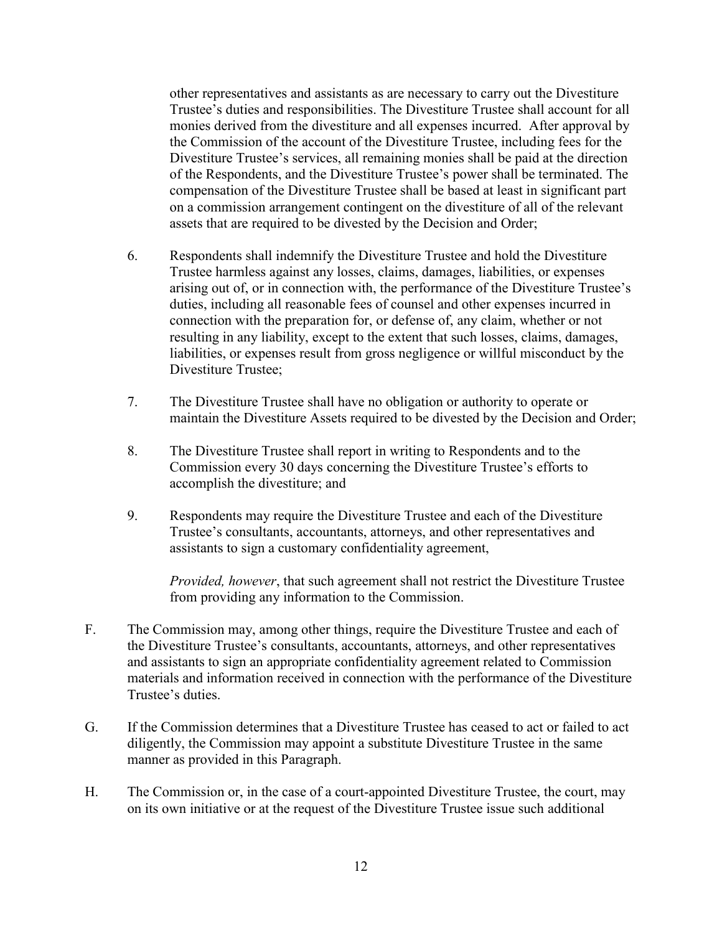other representatives and assistants as are necessary to carry out the Divestiture Trustee's duties and responsibilities. The Divestiture Trustee shall account for all monies derived from the divestiture and all expenses incurred. After approval by the Commission of the account of the Divestiture Trustee, including fees for the Divestiture Trustee's services, all remaining monies shall be paid at the direction of the Respondents, and the Divestiture Trustee's power shall be terminated. The compensation of the Divestiture Trustee shall be based at least in significant part on a commission arrangement contingent on the divestiture of all of the relevant assets that are required to be divested by the Decision and Order;

- 6. Respondents shall indemnify the Divestiture Trustee and hold the Divestiture Trustee harmless against any losses, claims, damages, liabilities, or expenses arising out of, or in connection with, the performance of the Divestiture Trustee's duties, including all reasonable fees of counsel and other expenses incurred in connection with the preparation for, or defense of, any claim, whether or not resulting in any liability, except to the extent that such losses, claims, damages, liabilities, or expenses result from gross negligence or willful misconduct by the Divestiture Trustee;
- 7. The Divestiture Trustee shall have no obligation or authority to operate or maintain the Divestiture Assets required to be divested by the Decision and Order;
- 8. The Divestiture Trustee shall report in writing to Respondents and to the Commission every 30 days concerning the Divestiture Trustee's efforts to accomplish the divestiture; and
- 9. Respondents may require the Divestiture Trustee and each of the Divestiture Trustee's consultants, accountants, attorneys, and other representatives and assistants to sign a customary confidentiality agreement,

*Provided, however*, that such agreement shall not restrict the Divestiture Trustee from providing any information to the Commission.

- F. The Commission may, among other things, require the Divestiture Trustee and each of the Divestiture Trustee's consultants, accountants, attorneys, and other representatives and assistants to sign an appropriate confidentiality agreement related to Commission materials and information received in connection with the performance of the Divestiture Trustee's duties.
- G. If the Commission determines that a Divestiture Trustee has ceased to act or failed to act diligently, the Commission may appoint a substitute Divestiture Trustee in the same manner as provided in this Paragraph.
- H. The Commission or, in the case of a court-appointed Divestiture Trustee, the court, may on its own initiative or at the request of the Divestiture Trustee issue such additional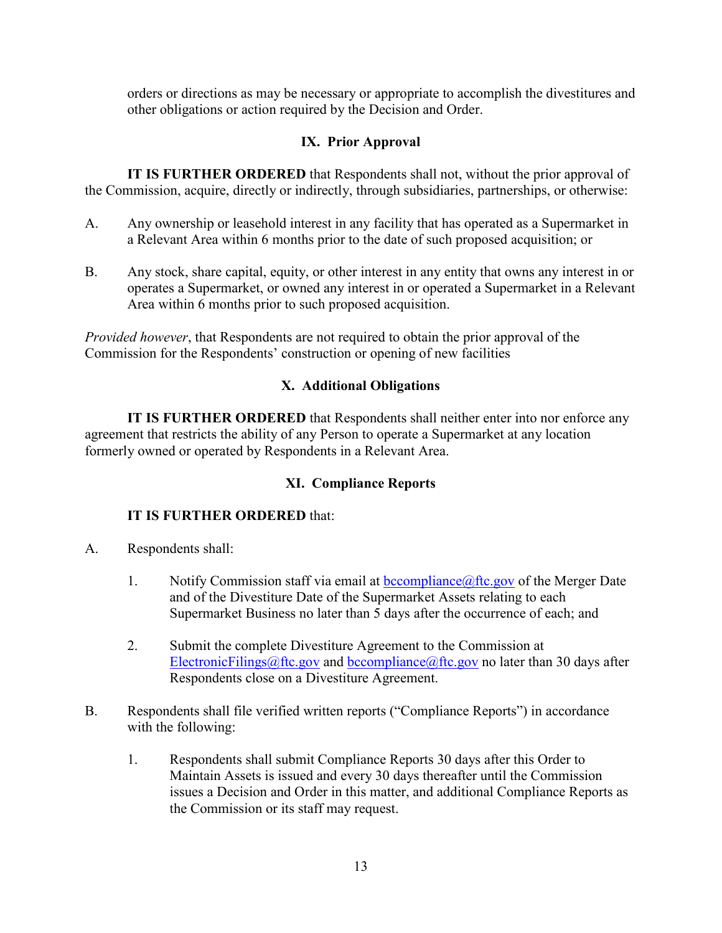orders or directions as may be necessary or appropriate to accomplish the divestitures and other obligations or action required by the Decision and Order.

### **IX. Prior Approval**

**IT IS FURTHER ORDERED** that Respondents shall not, without the prior approval of the Commission, acquire, directly or indirectly, through subsidiaries, partnerships, or otherwise:

- A. Any ownership or leasehold interest in any facility that has operated as a Supermarket in a Relevant Area within 6 months prior to the date of such proposed acquisition; or
- B. Any stock, share capital, equity, or other interest in any entity that owns any interest in or operates a Supermarket, or owned any interest in or operated a Supermarket in a Relevant Area within 6 months prior to such proposed acquisition.

*Provided however*, that Respondents are not required to obtain the prior approval of the Commission for the Respondents' construction or opening of new facilities

# **X. Additional Obligations**

**IT IS FURTHER ORDERED** that Respondents shall neither enter into nor enforce any agreement that restricts the ability of any Person to operate a Supermarket at any location formerly owned or operated by Respondents in a Relevant Area.

### **XI. Compliance Reports**

- A. Respondents shall:
	- 1. Notify Commission staff via email at  $bocompliance(\mathcal{Q})$ ftc.gov of the Merger Date and of the Divestiture Date of the Supermarket Assets relating to each Supermarket Business no later than 5 days after the occurrence of each; and
	- 2. Submit the complete Divestiture Agreement to the Commission at [ElectronicFilings@ftc.gov](mailto:ElectronicFilings@ftc.gov) and [bccompliance@ftc.gov](mailto:bccompliance@ftc.gov) no later than 30 days after Respondents close on a Divestiture Agreement.
- B. Respondents shall file verified written reports ("Compliance Reports") in accordance with the following:
	- 1. Respondents shall submit Compliance Reports 30 days after this Order to Maintain Assets is issued and every 30 days thereafter until the Commission issues a Decision and Order in this matter, and additional Compliance Reports as the Commission or its staff may request.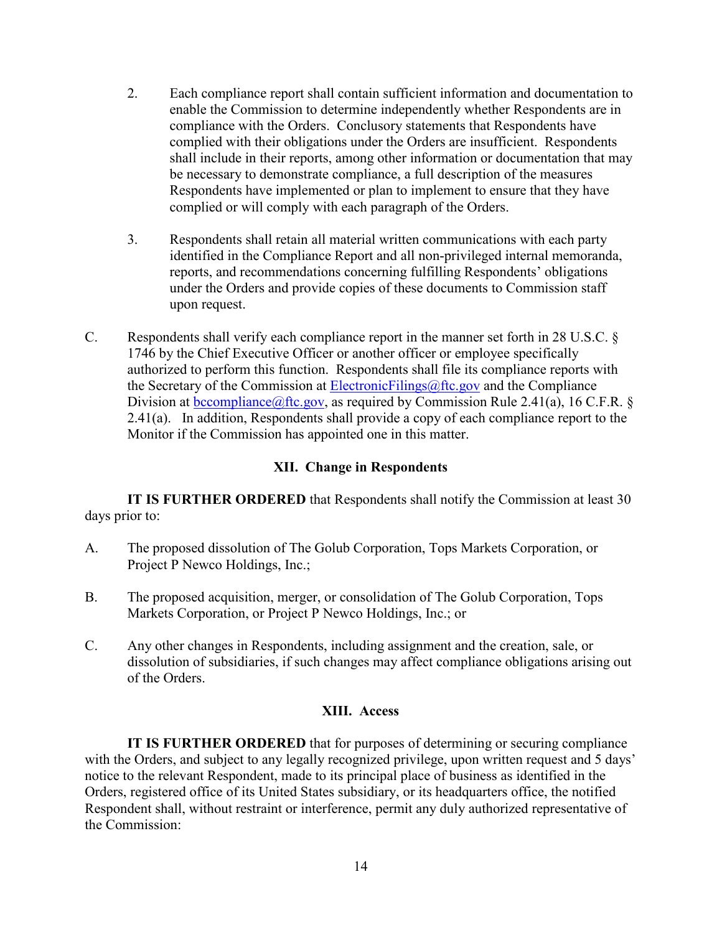- 2. Each compliance report shall contain sufficient information and documentation to enable the Commission to determine independently whether Respondents are in compliance with the Orders. Conclusory statements that Respondents have complied with their obligations under the Orders are insufficient. Respondents shall include in their reports, among other information or documentation that may be necessary to demonstrate compliance, a full description of the measures Respondents have implemented or plan to implement to ensure that they have complied or will comply with each paragraph of the Orders.
- 3. Respondents shall retain all material written communications with each party identified in the Compliance Report and all non-privileged internal memoranda, reports, and recommendations concerning fulfilling Respondents' obligations under the Orders and provide copies of these documents to Commission staff upon request.
- C. Respondents shall verify each compliance report in the manner set forth in 28 U.S.C. § 1746 by the Chief Executive Officer or another officer or employee specifically authorized to perform this function. Respondents shall file its compliance reports with the Secretary of the Commission at [ElectronicFilings@ftc.gov](mailto:ElectronicFilings@ftc.gov) and the Compliance Division at bccompliance  $@$ ftc.gov, as required by Commission Rule 2.41(a), 16 C.F.R. § 2.41(a). In addition, Respondents shall provide a copy of each compliance report to the Monitor if the Commission has appointed one in this matter.

#### **XII. Change in Respondents**

**IT IS FURTHER ORDERED** that Respondents shall notify the Commission at least 30 days prior to:

- A. The proposed dissolution of The Golub Corporation, Tops Markets Corporation, or Project P Newco Holdings, Inc.;
- B. The proposed acquisition, merger, or consolidation of The Golub Corporation, Tops Markets Corporation, or Project P Newco Holdings, Inc.; or
- C. Any other changes in Respondents, including assignment and the creation, sale, or dissolution of subsidiaries, if such changes may affect compliance obligations arising out of the Orders.

#### **XIII. Access**

**IT IS FURTHER ORDERED** that for purposes of determining or securing compliance with the Orders, and subject to any legally recognized privilege, upon written request and 5 days' notice to the relevant Respondent, made to its principal place of business as identified in the Orders, registered office of its United States subsidiary, or its headquarters office, the notified Respondent shall, without restraint or interference, permit any duly authorized representative of the Commission: